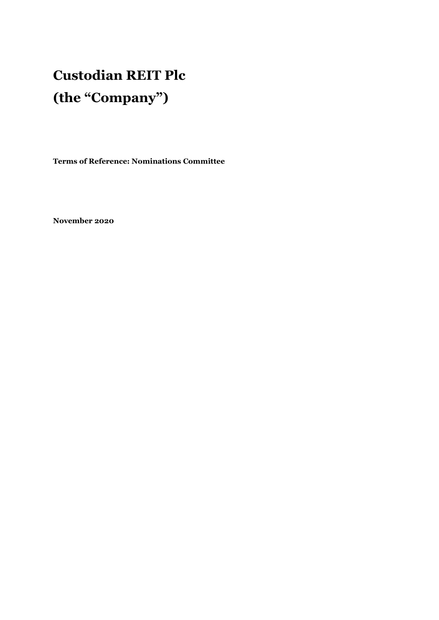# **Custodian REIT Plc (the "Company")**

**Terms of Reference: Nominations Committee** 

**November 2020**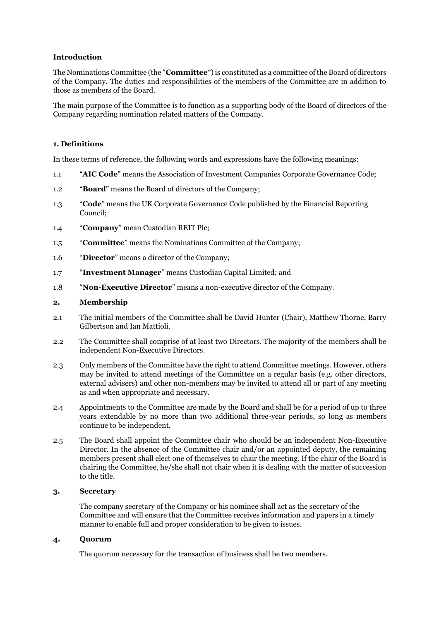## **Introduction**

The Nominations Committee (the "**Committee**") is constituted as a committee of the Board of directors of the Company. The duties and responsibilities of the members of the Committee are in addition to those as members of the Board.

The main purpose of the Committee is to function as a supporting body of the Board of directors of the Company regarding nomination related matters of the Company.

## **1. Definitions**

In these terms of reference, the following words and expressions have the following meanings:

- 1.1 "**AIC Code**" means the Association of Investment Companies Corporate Governance Code;
- 1.2 "**Board**" means the Board of directors of the Company;
- 1.3 "**Code**" means the UK Corporate Governance Code published by the Financial Reporting Council;
- 1.4 "**Company**" mean Custodian REIT Plc;
- 1.5 "**Committee**" means the Nominations Committee of the Company;
- 1.6 "**Director**" means a director of the Company;
- 1.7 "**Investment Manager**" means Custodian Capital Limited; and
- 1.8 "**Non-Executive Director**" means a non-executive director of the Company.

#### **2. Membership**

- 2.1 The initial members of the Committee shall be David Hunter (Chair), Matthew Thorne, Barry Gilbertson and Ian Mattioli.
- 2.2 The Committee shall comprise of at least two Directors. The majority of the members shall be independent Non-Executive Directors.
- 2.3 Only members of the Committee have the right to attend Committee meetings. However, others may be invited to attend meetings of the Committee on a regular basis (e.g. other directors, external advisers) and other non-members may be invited to attend all or part of any meeting as and when appropriate and necessary.
- 2.4 Appointments to the Committee are made by the Board and shall be for a period of up to three years extendable by no more than two additional three-year periods, so long as members continue to be independent.
- 2.5 The Board shall appoint the Committee chair who should be an independent Non-Executive Director. In the absence of the Committee chair and/or an appointed deputy, the remaining members present shall elect one of themselves to chair the meeting. If the chair of the Board is chairing the Committee, he/she shall not chair when it is dealing with the matter of succession to the title.

#### **3. Secretary**

The company secretary of the Company or his nominee shall act as the secretary of the Committee and will ensure that the Committee receives information and papers in a timely manner to enable full and proper consideration to be given to issues.

#### **4. Quorum**

The quorum necessary for the transaction of business shall be two members.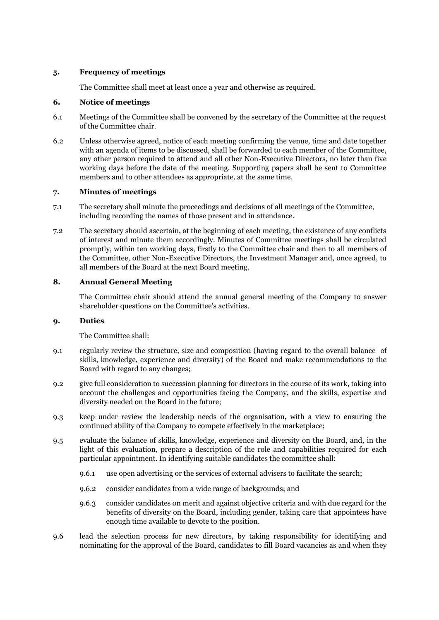## **5. Frequency of meetings**

The Committee shall meet at least once a year and otherwise as required.

# **6. Notice of meetings**

- 6.1 Meetings of the Committee shall be convened by the secretary of the Committee at the request of the Committee chair.
- 6.2 Unless otherwise agreed, notice of each meeting confirming the venue, time and date together with an agenda of items to be discussed, shall be forwarded to each member of the Committee, any other person required to attend and all other Non-Executive Directors, no later than five working days before the date of the meeting. Supporting papers shall be sent to Committee members and to other attendees as appropriate, at the same time.

## **7. Minutes of meetings**

- 7.1 The secretary shall minute the proceedings and decisions of all meetings of the Committee, including recording the names of those present and in attendance.
- 7.2 The secretary should ascertain, at the beginning of each meeting, the existence of any conflicts of interest and minute them accordingly. Minutes of Committee meetings shall be circulated promptly, within ten working days, firstly to the Committee chair and then to all members of the Committee, other Non-Executive Directors, the Investment Manager and, once agreed, to all members of the Board at the next Board meeting.

## **8. Annual General Meeting**

The Committee chair should attend the annual general meeting of the Company to answer shareholder questions on the Committee's activities.

# **9. Duties**

The Committee shall:

- 9.1 regularly review the structure, size and composition (having regard to the overall balance of skills, knowledge, experience and diversity) of the Board and make recommendations to the Board with regard to any changes;
- 9.2 give full consideration to succession planning for directors in the course of its work, taking into account the challenges and opportunities facing the Company, and the skills, expertise and diversity needed on the Board in the future;
- 9.3 keep under review the leadership needs of the organisation, with a view to ensuring the continued ability of the Company to compete effectively in the marketplace;
- 9.5 evaluate the balance of skills, knowledge, experience and diversity on the Board, and, in the light of this evaluation, prepare a description of the role and capabilities required for each particular appointment. In identifying suitable candidates the committee shall:
	- 9.6.1 use open advertising or the services of external advisers to facilitate the search;
	- 9.6.2 consider candidates from a wide range of backgrounds; and
	- 9.6.3 consider candidates on merit and against objective criteria and with due regard for the benefits of diversity on the Board, including gender, taking care that appointees have enough time available to devote to the position.
- 9.6 lead the selection process for new directors, by taking responsibility for identifying and nominating for the approval of the Board, candidates to fill Board vacancies as and when they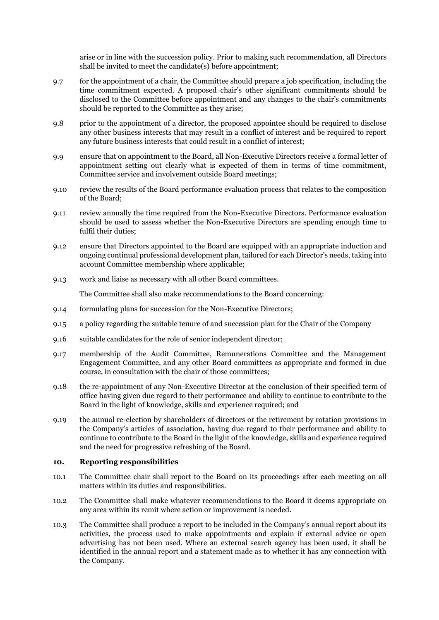arise or in line with the succession policy. Prior to making such recommendation, all Directors shall be invited to meet the candidate(s) before appointment;

- 9.7 for the appointment of a chair, the Committee should prepare a job specification, including the time commitment expected. A proposed chair's other significant commitments should be disclosed to the Committee before appointment and any changes to the chair's commitments should be reported to the Committee as they arise;
- 9.8 prior to the appointment of a director, the proposed appointee should be required to disclose any other business interests that may result in a conflict of interest and be required to report any future business interests that could result in a conflict of interest;
- 9.9 ensure that on appointment to the Board, all Non-Executive Directors receive a formal letter of appointment setting out clearly what is expected of them in terms of time commitment, Committee service and involvement outside Board meetings;
- 9.10 review the results of the Board performance evaluation process that relates to the composition of the Board;
- 9.11 review annually the time required from the Non-Executive Directors. Performance evaluation should be used to assess whether the Non-Executive Directors are spending enough time to fulfil their duties;
- 9.12 ensure that Directors appointed to the Board are equipped with an appropriate induction and ongoing continual professional development plan, tailored for each Director's needs, taking into account Committee membership where applicable;
- 9.13 work and liaise as necessary with all other Board committees.

The Committee shall also make recommendations to the Board concerning:

- 9.14 formulating plans for succession for the Non-Executive Directors;
- 9.15 a policy regarding the suitable tenure of and succession plan for the Chair of the Company
- 9.16 suitable candidates for the role of senior independent director;
- 9.17 membership of the Audit Committee, Remunerations Committee and the Management Engagement Committee, and any other Board committees as appropriate and formed in due course, in consultation with the chair of those committees;
- 9.18 the re-appointment of any Non-Executive Director at the conclusion of their specified term of office having given due regard to their performance and ability to continue to contribute to the Board in the light of knowledge, skills and experience required; and
- 9.19 the annual re-election by shareholders of directors or the retirement by rotation provisions in the Company's articles of association, having due regard to their performance and ability to continue to contribute to the Board in the light of the knowledge, skills and experience required and the need for progressive refreshing of the Board.

#### **10. Reporting responsibilities**

- 10.1 The Committee chair shall report to the Board on its proceedings after each meeting on all matters within its duties and responsibilities.
- 10.2 The Committee shall make whatever recommendations to the Board it deems appropriate on any area within its remit where action or improvement is needed.
- 10.3 The Committee shall produce a report to be included in the Company's annual report about its activities, the process used to make appointments and explain if external advice or open advertising has not been used. Where an external search agency has been used, it shall be identified in the annual report and a statement made as to whether it has any connection with the Company.